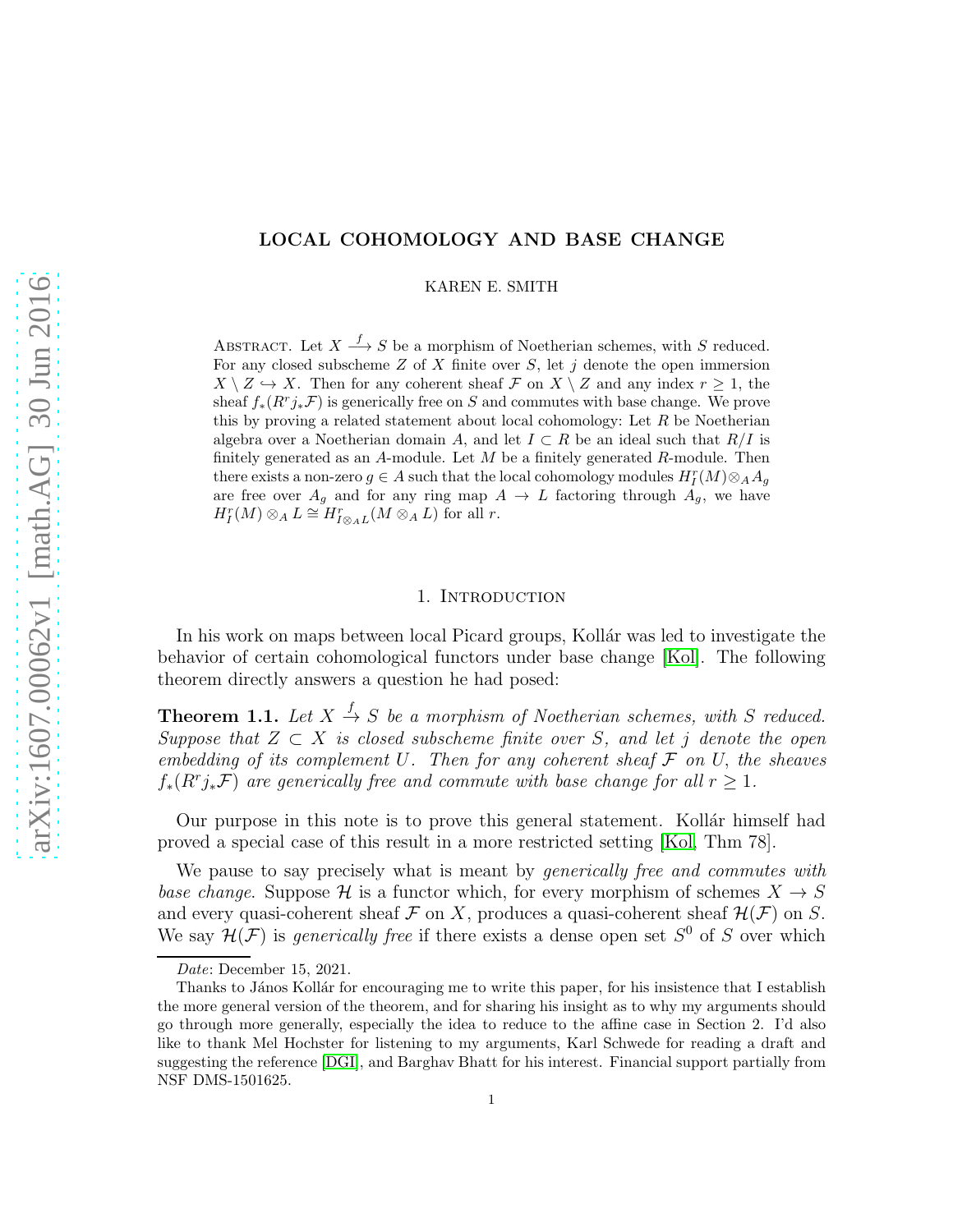# LOCAL COHOMOLOGY AND BASE CHANGE

KAREN E. SMITH

ABSTRACT. Let  $X \stackrel{f}{\longrightarrow} S$  be a morphism of Noetherian schemes, with S reduced. For any closed subscheme Z of X finite over S, let j denote the open immersion  $X \setminus Z \hookrightarrow X$ . Then for any coherent sheaf F on  $X \setminus Z$  and any index  $r \geq 1$ , the sheaf  $f_*(R^r j_* \mathcal{F})$  is generically free on S and commutes with base change. We prove this by proving a related statement about local cohomology: Let  $R$  be Noetherian algebra over a Noetherian domain A, and let  $I \subset R$  be an ideal such that  $R/I$  is finitely generated as an A-module. Let  $M$  be a finitely generated  $R$ -module. Then there exists a non-zero  $g \in A$  such that the local cohomology modules  $H_I^r(M) \otimes_A A_g$ are free over  $A_g$  and for any ring map  $A \to L$  factoring through  $A_g$ , we have  $H_I^r(M) \otimes_A L \cong H_{I \otimes_A L}^r(M \otimes_A L)$  for all r.

#### 1. INTRODUCTION

In his work on maps between local Picard groups, Kollár was led to investigate the behavior of certain cohomological functors under base change [\[Kol\]](#page-11-0). The following theorem directly answers a question he had posed:

<span id="page-0-0"></span>**Theorem 1.1.** Let  $X \stackrel{f}{\rightarrow} S$  be a morphism of Noetherian schemes, with S reduced. Suppose that  $Z \subset X$  is closed subscheme finite over S, and let j denote the open embedding of its complement U. Then for any coherent sheaf  $\mathcal F$  on U, the sheaves  $f_*(R^r j_* \mathcal{F})$  are generically free and commute with base change for all  $r \geq 1$ .

Our purpose in this note is to prove this general statement. Kollar himself had proved a special case of this result in a more restricted setting [\[Kol,](#page-11-0) Thm 78].

We pause to say precisely what is meant by *generically free and commutes with* base change. Suppose H is a functor which, for every morphism of schemes  $X \to S$ and every quasi-coherent sheaf  $\mathcal F$  on X, produces a quasi-coherent sheaf  $\mathcal H(\mathcal F)$  on S. We say  $\mathcal{H}(\mathcal{F})$  is *generically free* if there exists a dense open set  $S^0$  of S over which

*Date*: December 15, 2021.

Thanks to János Kollár for encouraging me to write this paper, for his insistence that I establish the more general version of the theorem, and for sharing his insight as to why my arguments should go through more generally, especially the idea to reduce to the affine case in Section 2. I'd also like to thank Mel Hochster for listening to my arguments, Karl Schwede for reading a draft and suggesting the reference [\[DGI\]](#page-11-1), and Barghav Bhatt for his interest. Financial support partially from NSF DMS-1501625.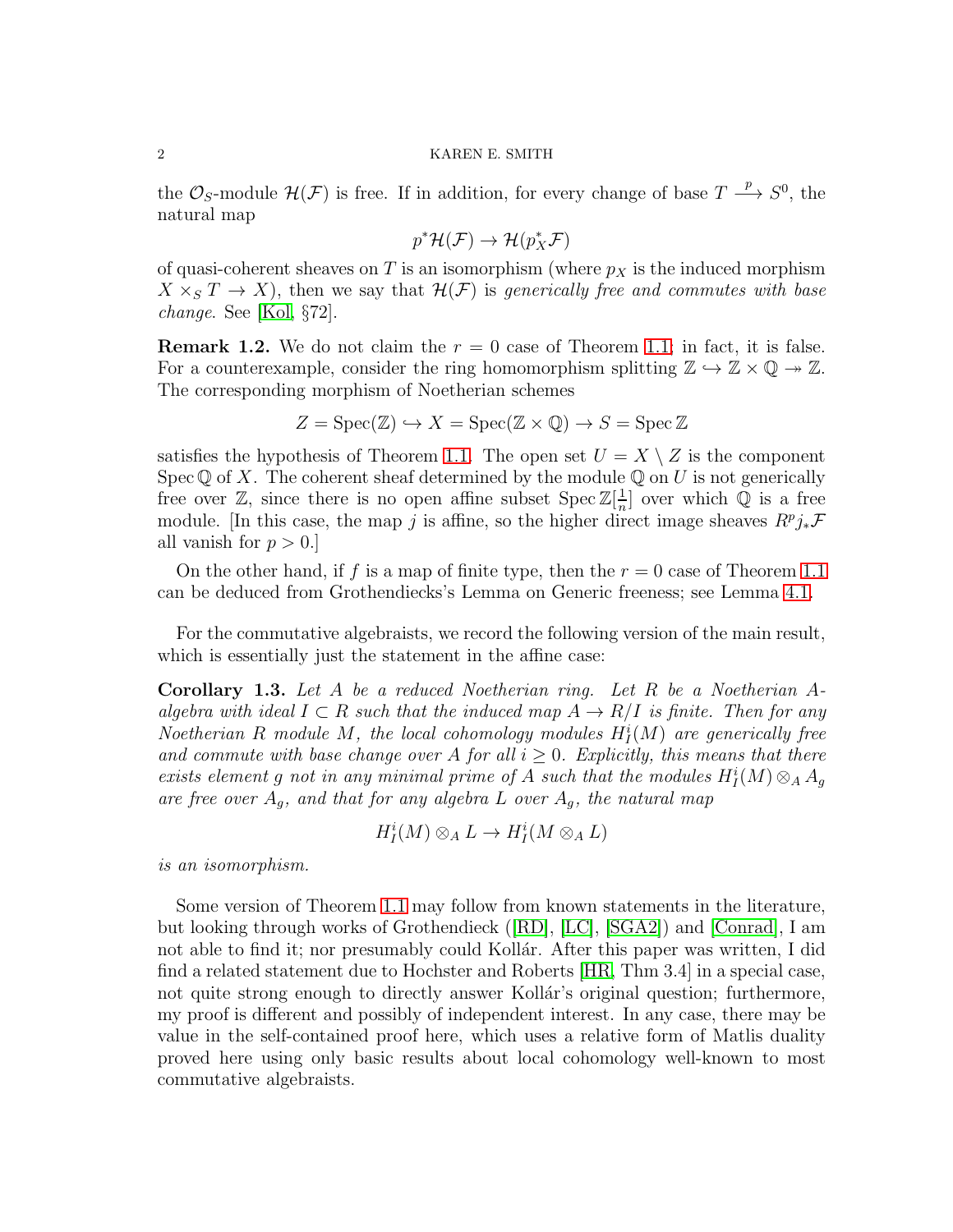the  $\mathcal{O}_S$ -module  $\mathcal{H}(\mathcal{F})$  is free. If in addition, for every change of base  $T \stackrel{p}{\longrightarrow} S^0$ , the natural map

$$
p^* \mathcal{H}(\mathcal{F}) \to \mathcal{H}(p_X^* \mathcal{F})
$$

of quasi-coherent sheaves on T is an isomorphism (where  $p<sub>X</sub>$  is the induced morphism  $X \times_S T \to X$ , then we say that  $\mathcal{H}(\mathcal{F})$  is generically free and commutes with base change. See [\[Kol,](#page-11-0) §72].

**Remark 1.2.** We do not claim the  $r = 0$  case of Theorem [1.1;](#page-0-0) in fact, it is false. For a counterexample, consider the ring homomorphism splitting  $\mathbb{Z} \hookrightarrow \mathbb{Z} \times \mathbb{Q} \twoheadrightarrow \mathbb{Z}$ . The corresponding morphism of Noetherian schemes

$$
Z = \operatorname{Spec}(\mathbb{Z}) \hookrightarrow X = \operatorname{Spec}(\mathbb{Z} \times \mathbb{Q}) \to S = \operatorname{Spec} \mathbb{Z}
$$

satisfies the hypothesis of Theorem [1.1.](#page-0-0) The open set  $U = X \setminus Z$  is the component Spec  $\mathbb Q$  of X. The coherent sheaf determined by the module  $\mathbb Q$  on U is not generically free over  $\mathbb{Z}$ , since there is no open affine subset  $\operatorname{Spec} \mathbb{Z}[\frac{1}{n}]$  $\frac{1}{n}$  over which  $\mathbb Q$  is a free module. [In this case, the map j is affine, so the higher direct image sheaves  $R^p j_* \mathcal{F}$ all vanish for  $p > 0$ .

On the other hand, if f is a map of finite type, then the  $r = 0$  case of Theorem [1.1](#page-0-0) can be deduced from Grothendiecks's Lemma on Generic freeness; see Lemma [4.1.](#page-6-0)

For the commutative algebraists, we record the following version of the main result, which is essentially just the statement in the affine case:

<span id="page-1-0"></span>Corollary 1.3. Let A be a reduced Noetherian ring. Let R be a Noetherian Aalgebra with ideal  $I \subset R$  such that the induced map  $A \to R/I$  is finite. Then for any Noetherian R module M, the local cohomology modules  $H_I^i(M)$  are generically free and commute with base change over A for all  $i \geq 0$ . Explicitly, this means that there exists element g not in any minimal prime of A such that the modules  $H_I^i(M) \otimes_A A_g$ are free over  $A_g$ , and that for any algebra L over  $A_g$ , the natural map

$$
H^i_I(M)\otimes_A L\to H^i_I(M\otimes_A L)
$$

is an isomorphism.

Some version of Theorem [1.1](#page-0-0) may follow from known statements in the literature, but looking through works of Grothendieck ([\[RD\]](#page-11-2), [\[LC\]](#page-11-3), [\[SGA2\]](#page-11-4)) and [\[Conrad\]](#page-11-5), I am not able to find it; nor presumably could Kollár. After this paper was written, I did find a related statement due to Hochster and Roberts [\[HR,](#page-11-6) Thm 3.4] in a special case, not quite strong enough to directly answer Kollár's original question; furthermore, my proof is different and possibly of independent interest. In any case, there may be value in the self-contained proof here, which uses a relative form of Matlis duality proved here using only basic results about local cohomology well-known to most commutative algebraists.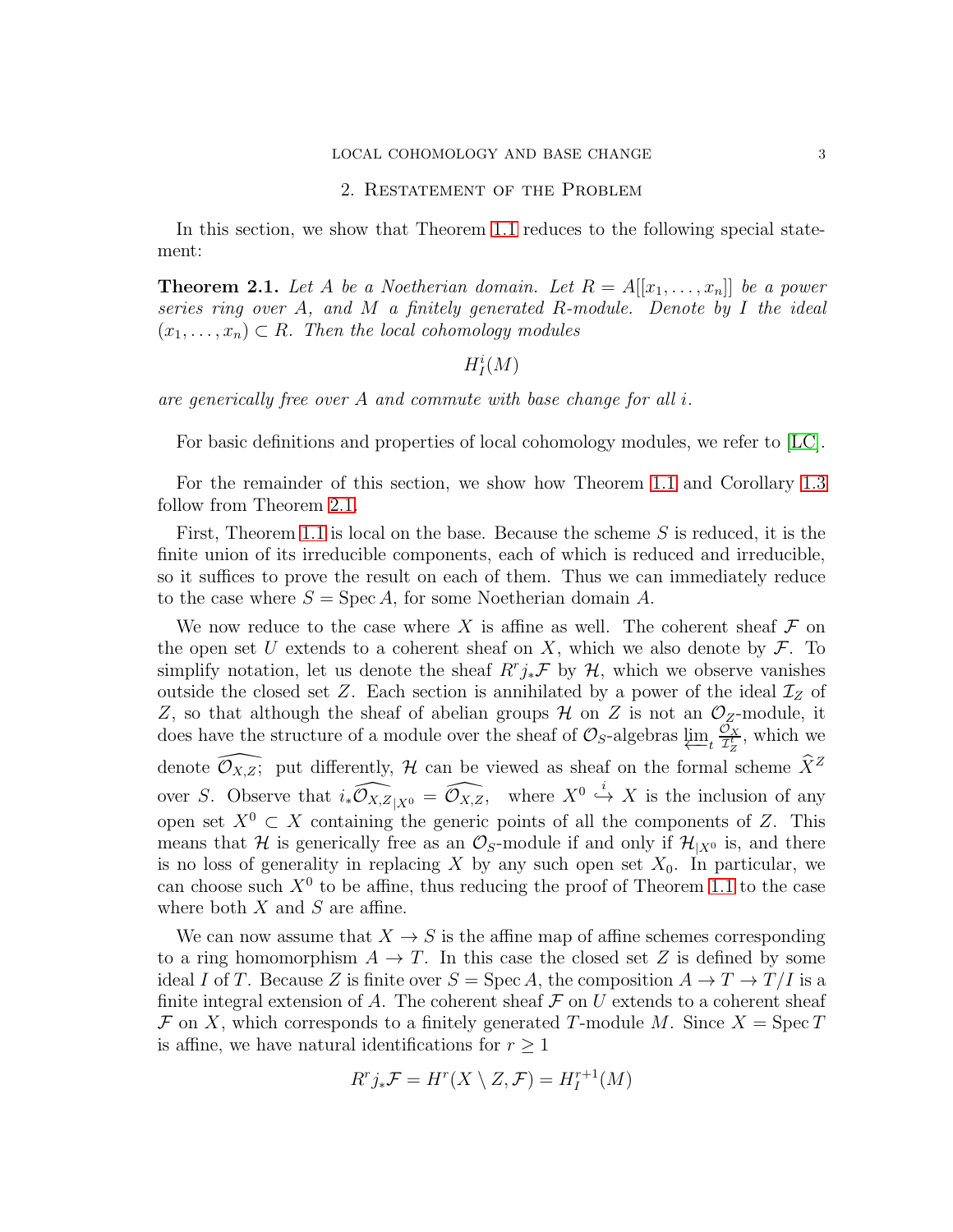## 2. Restatement of the Problem

In this section, we show that Theorem [1.1](#page-0-0) reduces to the following special statement:

<span id="page-2-0"></span>**Theorem 2.1.** Let A be a Noetherian domain. Let  $R = A[[x_1, \ldots, x_n]]$  be a power series ring over A, and M a finitely generated R-module. Denote by I the ideal  $(x_1, \ldots, x_n) \subset R$ . Then the local cohomology modules

# $H^i_I(M)$

are generically free over A and commute with base change for all i.

For basic definitions and properties of local cohomology modules, we refer to [\[LC\]](#page-11-3).

For the remainder of this section, we show how Theorem [1.1](#page-0-0) and Corollary [1.3](#page-1-0) follow from Theorem [2.1.](#page-2-0)

First, Theorem [1.1](#page-0-0) is local on the base. Because the scheme S is reduced, it is the finite union of its irreducible components, each of which is reduced and irreducible, so it suffices to prove the result on each of them. Thus we can immediately reduce to the case where  $S = \text{Spec } A$ , for some Noetherian domain A.

We now reduce to the case where X is affine as well. The coherent sheaf  $\mathcal F$  on the open set U extends to a coherent sheaf on X, which we also denote by  $\mathcal{F}$ . To simplify notation, let us denote the sheaf  $R^r j_* \mathcal{F}$  by  $\mathcal{H}$ , which we observe vanishes outside the closed set Z. Each section is annihilated by a power of the ideal  $\mathcal{I}_Z$  of Z, so that although the sheaf of abelian groups  $\mathcal H$  on Z is not an  $\mathcal O_Z$ -module, it does have the structure of a module over the sheaf of  $\mathcal{O}_S$ -algebras  $\varprojlim_t \frac{\mathcal{O}_X}{\mathcal{I}_Z^t}$  $\frac{\partial X}{\partial z}$ , which we denote  $\mathcal{O}_{X,Z}$ ; put differently, H can be viewed as sheaf on the formal scheme  $\widehat{X}^Z$ over S. Observe that  $i_*\widehat{\mathcal{O}_{X,Z}}_{|X^0} = \widehat{\mathcal{O}_{X,Z}},$  where  $X^0 \stackrel{i}{\hookrightarrow} X$  is the inclusion of any open set  $X^0 \subset X$  containing the generic points of all the components of Z. This means that H is generically free as an  $\mathcal{O}_S$ -module if and only if  $\mathcal{H}_{|X^0}$  is, and there is no loss of generality in replacing X by any such open set  $X_0$ . In particular, we can choose such  $X^0$  to be affine, thus reducing the proof of Theorem [1.1](#page-0-0) to the case where both  $X$  and  $S$  are affine.

We can now assume that  $X \to S$  is the affine map of affine schemes corresponding to a ring homomorphism  $A \to T$ . In this case the closed set Z is defined by some ideal I of T. Because Z is finite over  $S = \text{Spec } A$ , the composition  $A \to T \to T/I$  is a finite integral extension of A. The coherent sheaf  $\mathcal F$  on U extends to a coherent sheaf  $\mathcal F$  on X, which corresponds to a finitely generated T-module M. Since  $X = \operatorname{Spec} T$ is affine, we have natural identifications for  $r \geq 1$ 

$$
R^r j_* \mathcal{F} = H^r(X \setminus Z, \mathcal{F}) = H^{r+1}_I(M)
$$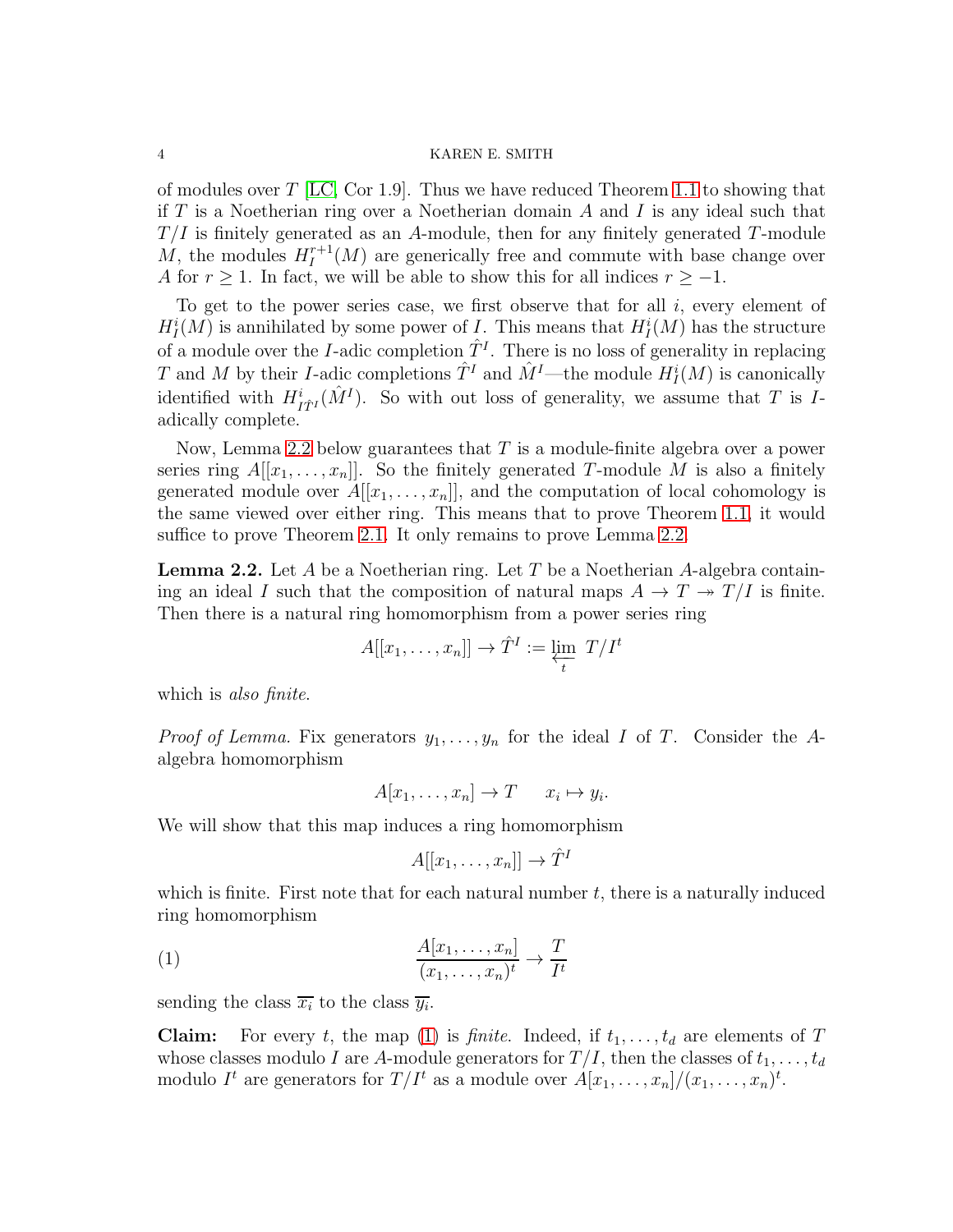of modules over  $T$  [\[LC,](#page-11-3) Cor 1.9]. Thus we have reduced Theorem [1.1](#page-0-0) to showing that if T is a Noetherian ring over a Noetherian domain A and I is any ideal such that  $T/I$  is finitely generated as an A-module, then for any finitely generated T-module M, the modules  $H_I^{r+1}$  $I_I^{r+1}(M)$  are generically free and commute with base change over A for  $r \geq 1$ . In fact, we will be able to show this for all indices  $r \geq -1$ .

To get to the power series case, we first observe that for all  $i$ , every element of  $H_I^i(M)$  is annihilated by some power of I. This means that  $H_I^i(M)$  has the structure of a module over the *I*-adic completion  $\hat{T}^I$ . There is no loss of generality in replacing T and M by their I-adic completions  $\hat{T}^I$  and  $\hat{M}^I$ —the module  $H^i_I(M)$  is canonically identified with  $H^i_{I\hat{T}^I}(\hat{M}^I)$ . So with out loss of generality, we assume that T is Iadically complete.

Now, Lemma [2.2](#page-3-0) below guarantees that  $T$  is a module-finite algebra over a power series ring  $A[[x_1, \ldots, x_n]]$ . So the finitely generated T-module M is also a finitely generated module over  $A[[x_1, \ldots, x_n]]$ , and the computation of local cohomology is the same viewed over either ring. This means that to prove Theorem [1.1,](#page-0-0) it would suffice to prove Theorem [2.1.](#page-2-0) It only remains to prove Lemma [2.2.](#page-3-0)

<span id="page-3-0"></span>**Lemma 2.2.** Let A be a Noetherian ring. Let T be a Noetherian A-algebra containing an ideal I such that the composition of natural maps  $A \to T \to T/I$  is finite. Then there is a natural ring homomorphism from a power series ring

$$
A[[x_1,\ldots,x_n]] \to \hat{T}^I := \varprojlim_t \ T/I^t
$$

which is *also finite*.

*Proof of Lemma.* Fix generators  $y_1, \ldots, y_n$  for the ideal I of T. Consider the Aalgebra homomorphism

$$
A[x_1,\ldots,x_n] \to T \qquad x_i \mapsto y_i.
$$

We will show that this map induces a ring homomorphism

<span id="page-3-1"></span>
$$
A[[x_1,\ldots,x_n]] \to \hat{T}^I
$$

which is finite. First note that for each natural number  $t$ , there is a naturally induced ring homomorphism

(1) 
$$
\frac{A[x_1,\ldots,x_n]}{(x_1,\ldots,x_n)^t} \to \frac{T}{I^t}
$$

sending the class  $\overline{x_i}$  to the class  $\overline{y_i}$ .

**Claim:** For every t, the map [\(1\)](#page-3-1) is *finite*. Indeed, if  $t_1, \ldots, t_d$  are elements of T whose classes modulo I are A-module generators for  $T/I$ , then the classes of  $t_1, \ldots, t_d$ modulo  $I^t$  are generators for  $T/I^t$  as a module over  $A[x_1, \ldots, x_n]/(x_1, \ldots, x_n)^t$ .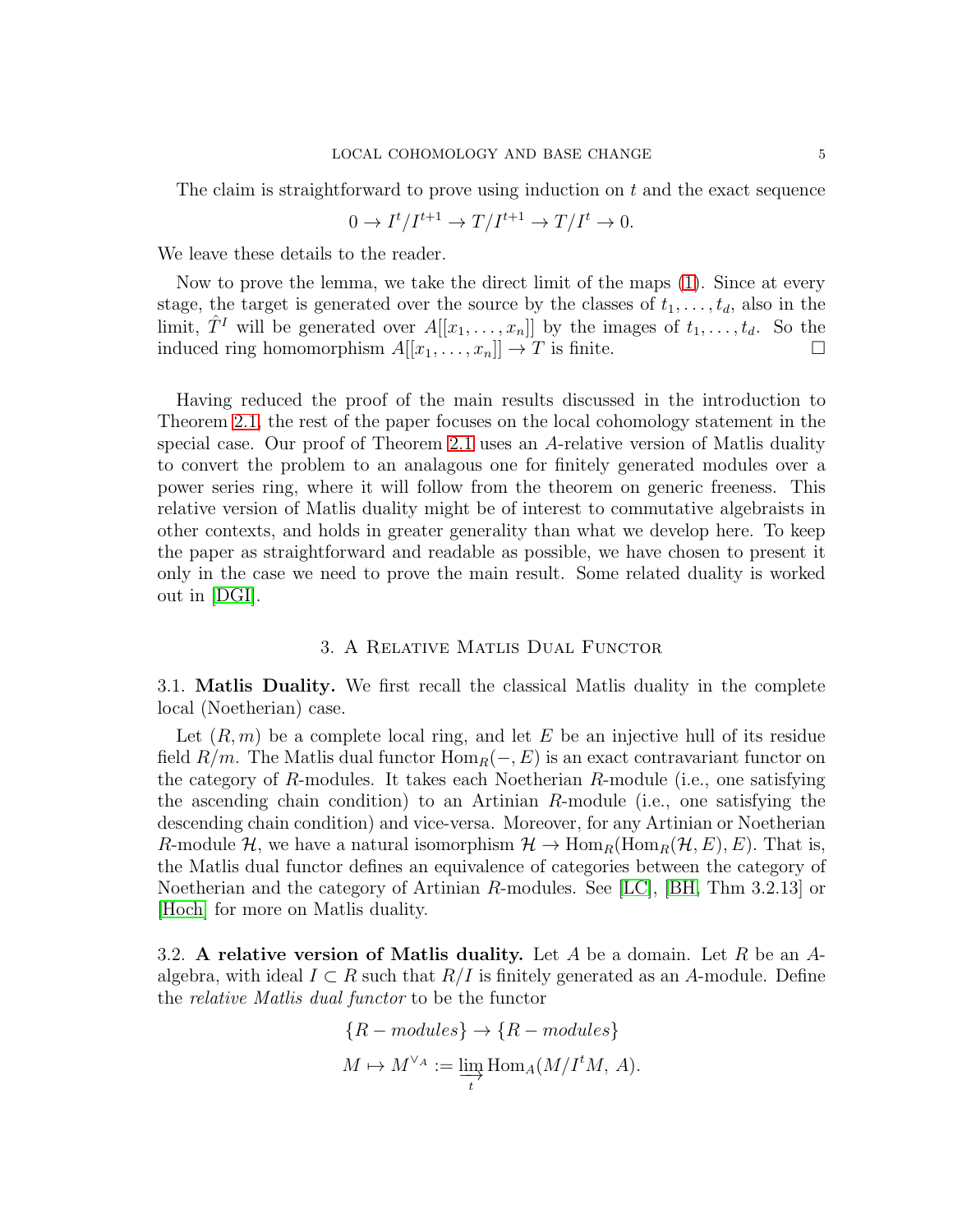The claim is straightforward to prove using induction on  $t$  and the exact sequence

$$
0 \to I^t/I^{t+1} \to T/I^{t+1} \to T/I^t \to 0.
$$

We leave these details to the reader.

Now to prove the lemma, we take the direct limit of the maps [\(1\)](#page-3-1). Since at every stage, the target is generated over the source by the classes of  $t_1, \ldots, t_d$ , also in the limit,  $\hat{T}^I$  will be generated over  $A[[x_1, \ldots, x_n]]$  by the images of  $t_1, \ldots, t_d$ . So the induced ring homomorphism  $A[[x_1, \ldots, x_n]] \to T$  is finite.

Having reduced the proof of the main results discussed in the introduction to Theorem [2.1,](#page-2-0) the rest of the paper focuses on the local cohomology statement in the special case. Our proof of Theorem [2.1](#page-2-0) uses an A-relative version of Matlis duality to convert the problem to an analagous one for finitely generated modules over a power series ring, where it will follow from the theorem on generic freeness. This relative version of Matlis duality might be of interest to commutative algebraists in other contexts, and holds in greater generality than what we develop here. To keep the paper as straightforward and readable as possible, we have chosen to present it only in the case we need to prove the main result. Some related duality is worked out in [\[DGI\]](#page-11-1).

#### 3. A Relative Matlis Dual Functor

3.1. Matlis Duality. We first recall the classical Matlis duality in the complete local (Noetherian) case.

Let  $(R, m)$  be a complete local ring, and let E be an injective hull of its residue field  $R/m$ . The Matlis dual functor  $\text{Hom}_R(-, E)$  is an exact contravariant functor on the category of R-modules. It takes each Noetherian R-module (i.e., one satisfying the ascending chain condition) to an Artinian  $R$ -module (i.e., one satisfying the descending chain condition) and vice-versa. Moreover, for any Artinian or Noetherian R-module H, we have a natural isomorphism  $\mathcal{H} \to \text{Hom}_R(\text{Hom}_R(\mathcal{H}, E), E)$ . That is, the Matlis dual functor defines an equivalence of categories between the category of Noetherian and the category of Artinian R-modules. See [\[LC\]](#page-11-3), [\[BH,](#page-11-7) Thm 3.2.13] or [\[Hoch\]](#page-11-8) for more on Matlis duality.

3.2. A relative version of Matlis duality. Let A be a domain. Let R be an Aalgebra, with ideal  $I \subset R$  such that  $R/I$  is finitely generated as an A-module. Define the relative Matlis dual functor to be the functor

$$
\{R-modules\} \to \{R-modules\}
$$

$$
M \mapsto M^{\vee_A} := \varinjlim_t \text{Hom}_A(M/I^tM, A).
$$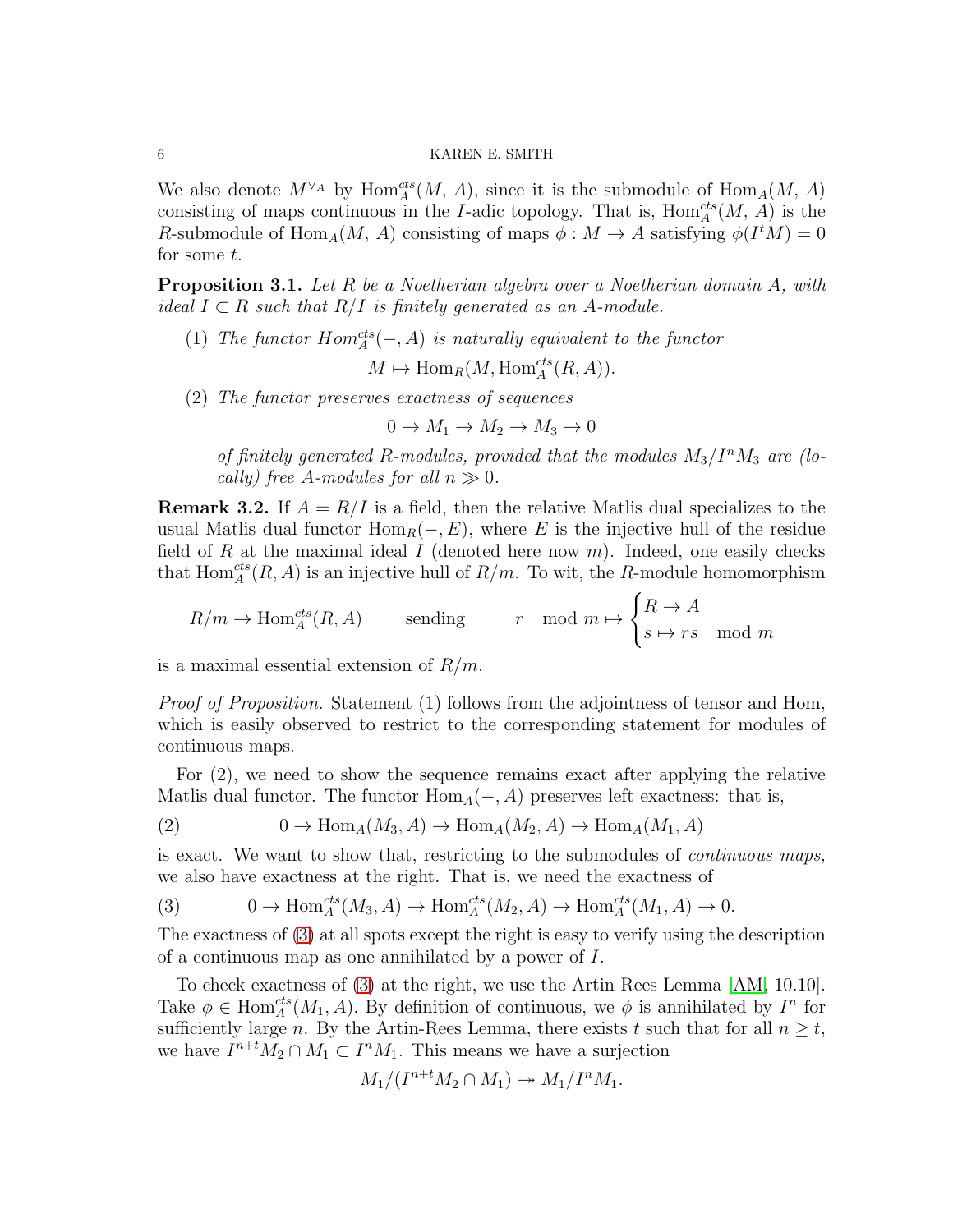We also denote  $M^{\vee_A}$  by  $\text{Hom}_A^{cts}(M, A)$ , since it is the submodule of  $\text{Hom}_A(M, A)$ consisting of maps continuous in the I-adic topology. That is,  $\text{Hom}_{A}^{cts}(M, A)$  is the R-submodule of Hom<sub>A</sub> $(M, A)$  consisting of maps  $\phi : M \to A$  satisfying  $\phi(I^tM) = 0$ for some  $t$ .

<span id="page-5-1"></span>**Proposition 3.1.** Let R be a Noetherian algebra over a Noetherian domain A, with ideal  $I \subset R$  such that  $R/I$  is finitely generated as an A-module.

- (1) The functor  $Hom_A^{cts}(-, A)$  is naturally equivalent to the functor  $M \mapsto \text{Hom}_R(M, \text{Hom}_A^{cts}(R, A)).$
- (2) The functor preserves exactness of sequences

 $0 \rightarrow M_1 \rightarrow M_2 \rightarrow M_3 \rightarrow 0$ 

of finitely generated R-modules, provided that the modules  $M_3/I^nM_3$  are (locally) free A-modules for all  $n \gg 0$ .

**Remark 3.2.** If  $A = R/I$  is a field, then the relative Matlis dual specializes to the usual Matlis dual functor  $\text{Hom}_R(-, E)$ , where E is the injective hull of the residue field of R at the maximal ideal I (denoted here now  $m$ ). Indeed, one easily checks that  $\text{Hom}_{A}^{cts}(R, A)$  is an injective hull of  $R/m$ . To wit, the R-module homomorphism

$$
R/m \to \operatorname{Hom}\nolimits_A^{cts}(R,A) \qquad \text{ sending } \qquad r \mod m \mapsto \begin{cases} R \to A \\ s \mapsto rs \mod m \end{cases}
$$

is a maximal essential extension of  $R/m$ .

Proof of Proposition. Statement (1) follows from the adjointness of tensor and Hom, which is easily observed to restrict to the corresponding statement for modules of continuous maps.

For (2), we need to show the sequence remains exact after applying the relative Matlis dual functor. The functor  $\text{Hom}_A(-, A)$  preserves left exactness: that is,

(2) 
$$
0 \to \text{Hom}_A(M_3, A) \to \text{Hom}_A(M_2, A) \to \text{Hom}_A(M_1, A)
$$

is exact. We want to show that, restricting to the submodules of continuous maps, we also have exactness at the right. That is, we need the exactness of

<span id="page-5-0"></span>(3) 
$$
0 \to \text{Hom}_{A}^{cts}(M_3, A) \to \text{Hom}_{A}^{cts}(M_2, A) \to \text{Hom}_{A}^{cts}(M_1, A) \to 0.
$$

The exactness of [\(3\)](#page-5-0) at all spots except the right is easy to verify using the description of a continuous map as one annihilated by a power of I.

To check exactness of [\(3\)](#page-5-0) at the right, we use the Artin Rees Lemma [\[AM,](#page-11-9) 10.10]. Take  $\phi \in \text{Hom}_{A}^{cts}(M_1, A)$ . By definition of continuous, we  $\phi$  is annihilated by  $I^n$  for sufficiently large n. By the Artin-Rees Lemma, there exists t such that for all  $n \geq t$ , we have  $I^{n+t}M_2 \cap M_1 \subset I^nM_1$ . This means we have a surjection

$$
M_1/(I^{n+t}M_2 \cap M_1) \to M_1/I^nM_1.
$$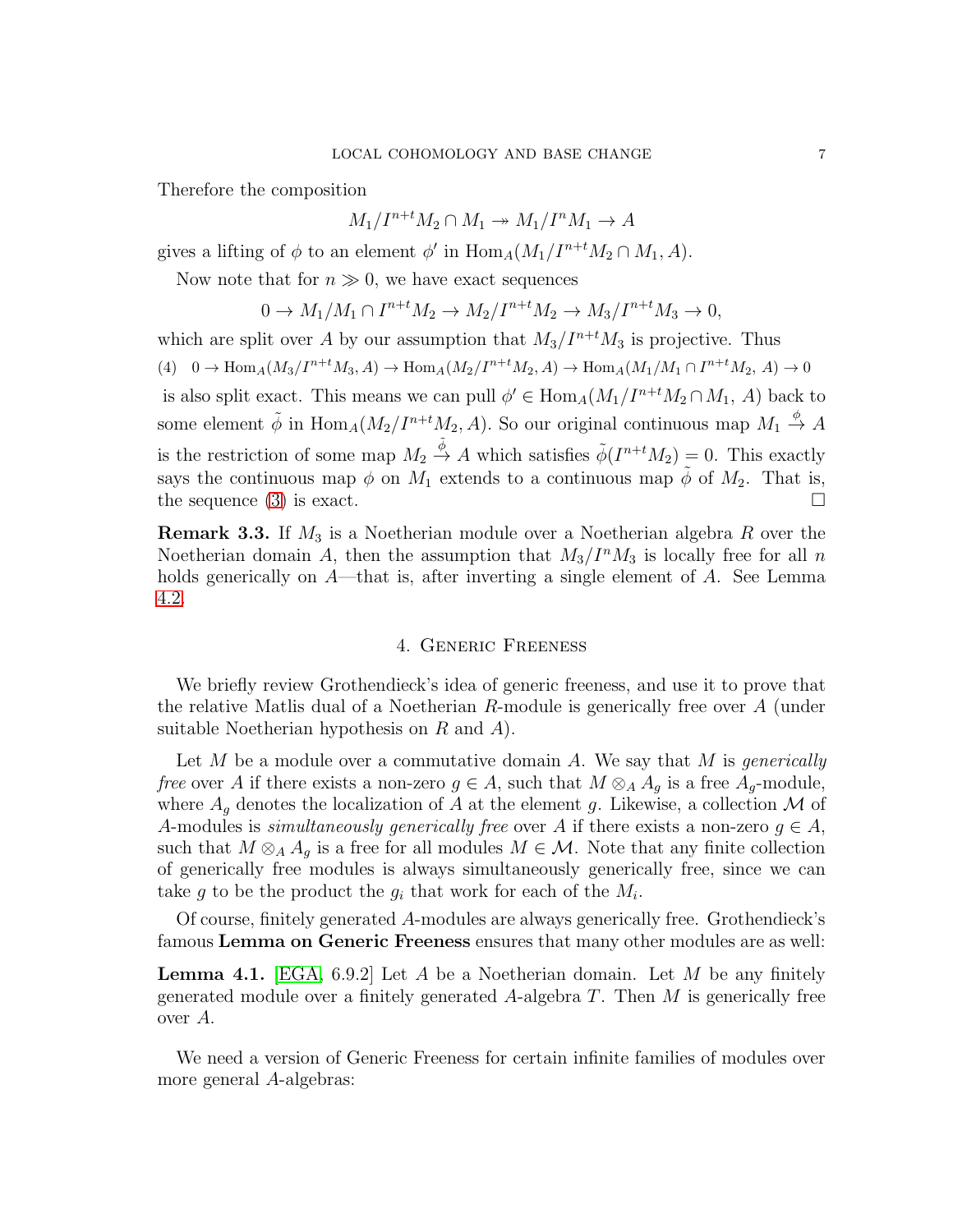Therefore the composition

 $M_1/I^{n+t}M_2 \cap M_1 \rightarrow M_1/I^nM_1 \rightarrow A$ 

gives a lifting of  $\phi$  to an element  $\phi'$  in  $\text{Hom}_A(M_1/I^{n+t}M_2 \cap M_1, A)$ .

Now note that for  $n \gg 0$ , we have exact sequences

$$
0 \to M_1/M_1 \cap I^{n+t}M_2 \to M_2/I^{n+t}M_2 \to M_3/I^{n+t}M_3 \to 0,
$$

which are split over A by our assumption that  $M_3/I^{n+t}M_3$  is projective. Thus  $(4)$  0  $\rightarrow$  Hom<sub>A</sub> $(M_3/I^{n+t}M_3, A)$   $\rightarrow$  Hom<sub>A</sub> $(M_2/I^{n+t}M_2, A)$   $\rightarrow$  Hom<sub>A</sub> $(M_1/M_1 \cap I^{n+t}M_2, A)$   $\rightarrow$  0 is also split exact. This means we can pull  $\phi' \in \text{Hom}_A(M_1/I^{n+t}M_2 \cap M_1, A)$  back to some element  $\tilde{\phi}$  in  $\text{Hom}_A(M_2/I^{n+t}M_2, A)$ . So our original continuous map  $M_1 \stackrel{\phi}{\to} A$ is the restriction of some map  $M_2 \stackrel{\tilde{\phi}}{\rightarrow} A$  which satisfies  $\tilde{\phi}(I^{n+t}M_2) = 0$ . This exactly says the continuous map  $\phi$  on  $M_1$  extends to a continuous map  $\tilde{\phi}$  of  $M_2$ . That is, the sequence [\(3\)](#page-5-0) is exact.  $\Box$ 

**Remark 3.3.** If  $M_3$  is a Noetherian module over a Noetherian algebra R over the Noetherian domain A, then the assumption that  $M_3/I^nM_3$  is locally free for all n holds generically on A—that is, after inverting a single element of A. See Lemma [4.2.](#page-7-0)

# 4. Generic Freeness

We briefly review Grothendieck's idea of generic freeness, and use it to prove that the relative Matlis dual of a Noetherian R-module is generically free over A (under suitable Noetherian hypothesis on  $R$  and  $A$ ).

Let M be a module over a commutative domain A. We say that M is *generically* free over A if there exists a non-zero  $g \in A$ , such that  $M \otimes_A A_g$  is a free  $A_g$ -module, where  $A<sub>g</sub>$  denotes the localization of A at the element g. Likewise, a collection M of A-modules is *simultaneously generically free* over A if there exists a non-zero  $g \in A$ , such that  $M \otimes_A A_q$  is a free for all modules  $M \in \mathcal{M}$ . Note that any finite collection of generically free modules is always simultaneously generically free, since we can take g to be the product the  $g_i$  that work for each of the  $M_i$ .

Of course, finitely generated A-modules are always generically free. Grothendieck's famous Lemma on Generic Freeness ensures that many other modules are as well:

<span id="page-6-0"></span>**Lemma 4.1.** [\[EGA,](#page-11-10) 6.9.2] Let A be a Noetherian domain. Let M be any finitely generated module over a finitely generated A-algebra  $T$ . Then  $M$  is generically free over A.

We need a version of Generic Freeness for certain infinite families of modules over more general A-algebras: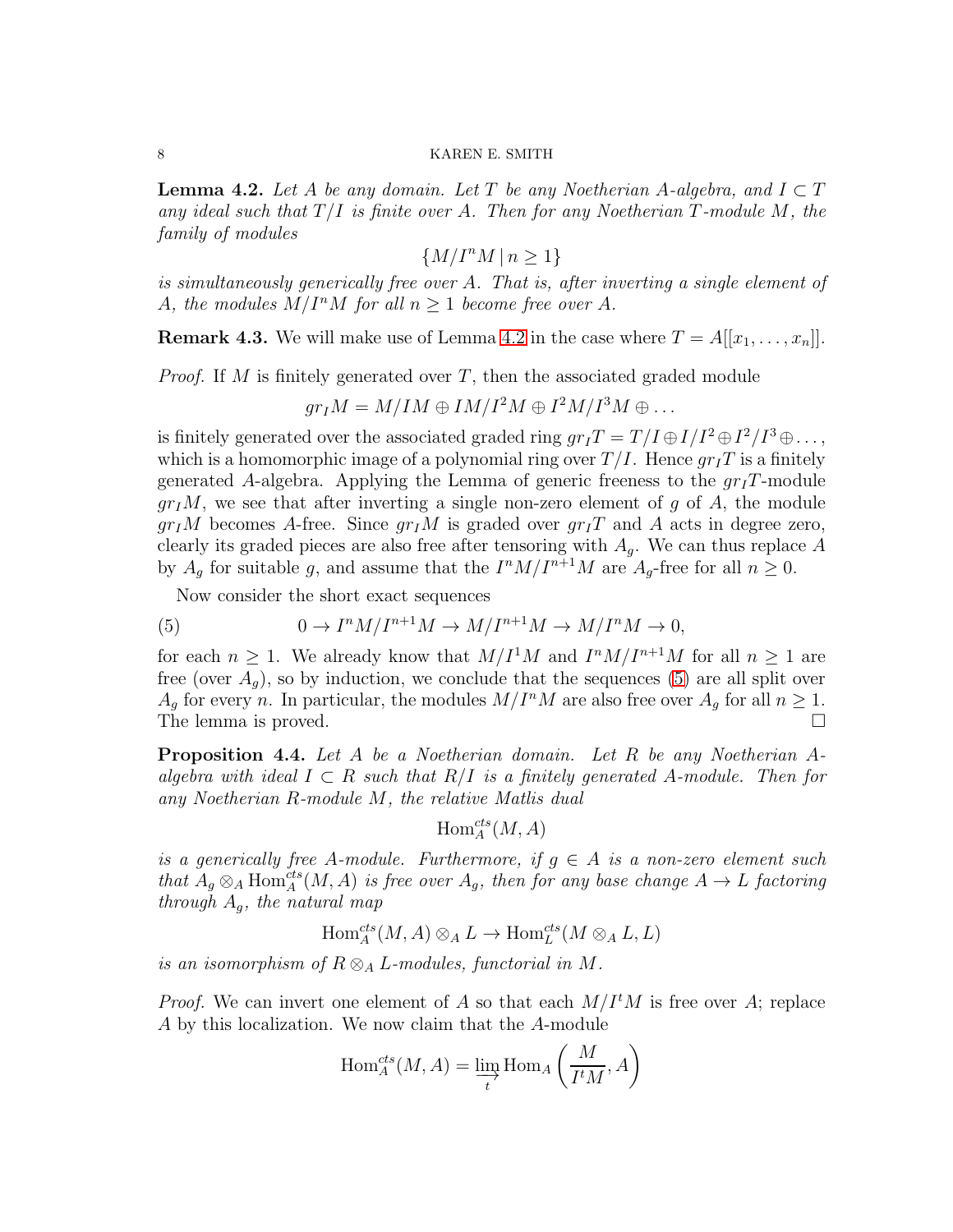<span id="page-7-0"></span>**Lemma 4.2.** Let A be any domain. Let T be any Noetherian A-algebra, and  $I \subset T$ any ideal such that  $T/I$  is finite over A. Then for any Noetherian T-module M, the family of modules

 $\{M/I^nM \mid n \geq 1\}$ 

is simultaneously generically free over A. That is, after inverting a single element of A, the modules  $M/I^nM$  for all  $n \geq 1$  become free over A.

**Remark 4.3.** We will make use of Lemma [4.2](#page-7-0) in the case where  $T = A[[x_1, \ldots, x_n]]$ .

*Proof.* If M is finitely generated over  $T$ , then the associated graded module

 $gr_I M = M/IM \oplus IM/I^2M \oplus I^2M/I^3M \oplus \ldots$ 

is finitely generated over the associated graded ring  $gr_I T = T/I \oplus I/I^2 \oplus I^2/I^3 \oplus \ldots$ , which is a homomorphic image of a polynomial ring over  $T/I$ . Hence  $gr_I T$  is a finitely generated A-algebra. Applying the Lemma of generic freeness to the  $grT$ -module  $gr<sub>I</sub>M$ , we see that after inverting a single non-zero element of g of A, the module  $gr_I M$  becomes A-free. Since  $gr_I M$  is graded over  $gr_I T$  and A acts in degree zero, clearly its graded pieces are also free after tensoring with  $A<sub>q</sub>$ . We can thus replace A by  $A_g$  for suitable g, and assume that the  $I^nM/I^{n+1}M$  are  $A_g$ -free for all  $n\geq 0$ .

<span id="page-7-1"></span>Now consider the short exact sequences

(5) 
$$
0 \to I^{n}M/I^{n+1}M \to M/I^{n+1}M \to M/I^{n}M \to 0,
$$

for each  $n \geq 1$ . We already know that  $M/I^1M$  and  $I^nM/I^{n+1}M$  for all  $n \geq 1$  are free (over  $A_g$ ), so by induction, we conclude that the sequences [\(5\)](#page-7-1) are all split over  $A_g$  for every n. In particular, the modules  $M/I^nM$  are also free over  $A_g$  for all  $n\geq 1$ . The lemma is proved.  $\square$ 

<span id="page-7-2"></span>Proposition 4.4. Let A be a Noetherian domain. Let R be any Noetherian Aalgebra with ideal  $I \subset R$  such that  $R/I$  is a finitely generated A-module. Then for any Noetherian R-module M, the relative Matlis dual

 $\operatorname{Hom}_A^{cts}(M,A)$ 

is a generically free A-module. Furthermore, if  $q \in A$  is a non-zero element such that  $A_g \otimes_A \text{Hom}_A^{cts}(M, A)$  is free over  $A_g$ , then for any base change  $A \to L$  factoring through  $A_q$ , the natural map

 $\text{Hom}_A^{cts}(M, A) \otimes_A L \to \text{Hom}_L^{cts}(M \otimes_A L, L)$ 

is an isomorphism of  $R \otimes_A L$ -modules, functorial in M.

*Proof.* We can invert one element of A so that each  $M/I<sup>t</sup>M$  is free over A; replace A by this localization. We now claim that the A-module

$$
\operatorname{Hom}\nolimits_A^{cts}(M, A) = \varinjlim_t \operatorname{Hom}\nolimits_A\left(\frac{M}{I^tM}, A\right)
$$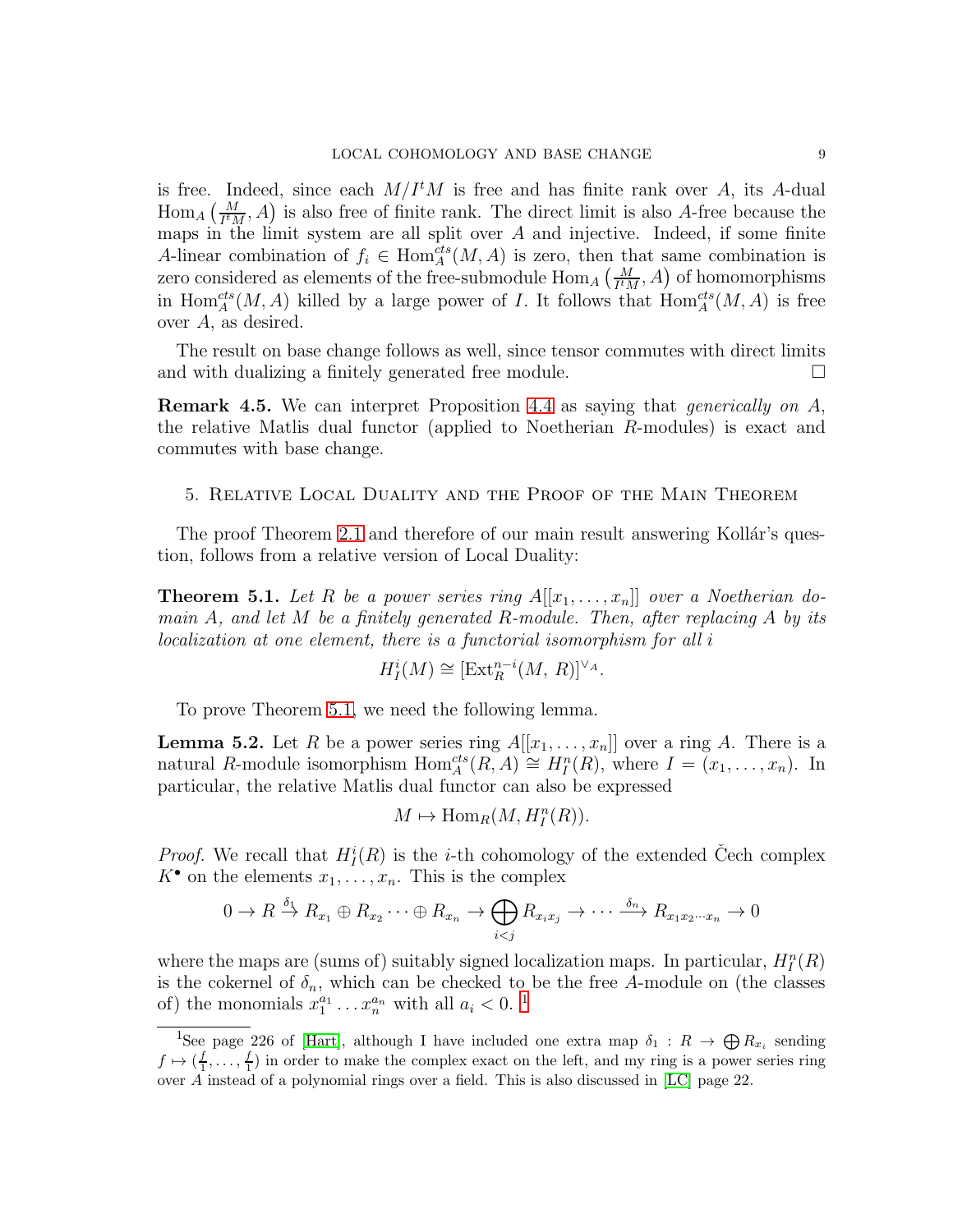is free. Indeed, since each  $M/I^tM$  is free and has finite rank over A, its A-dual  $\text{Hom}_A\left(\frac{M}{I^tM},A\right)$  is also free of finite rank. The direct limit is also A-free because the maps in the limit system are all split over  $A$  and injective. Indeed, if some finite A-linear combination of  $f_i \in \text{Hom}_{A}^{cts}(M, A)$  is zero, then that same combination is zero considered as elements of the free-submodule  $\text{Hom}_A\left(\frac{M}{I^tM},A\right)$  of homomorphisms in Hom<sup>cts</sup> $(M, A)$  killed by a large power of I. It follows that  $\text{Hom}_{A}^{cts}(M, A)$  is free over A, as desired.

The result on base change follows as well, since tensor commutes with direct limits and with dualizing a finitely generated free module.

Remark 4.5. We can interpret Proposition [4.4](#page-7-2) as saying that generically on A, the relative Matlis dual functor (applied to Noetherian R-modules) is exact and commutes with base change.

5. Relative Local Duality and the Proof of the Main Theorem

The proof Theorem [2.1](#page-2-0) and therefore of our main result answering Kollár's question, follows from a relative version of Local Duality:

<span id="page-8-0"></span>**Theorem 5.1.** Let R be a power series ring  $A[[x_1, \ldots, x_n]]$  over a Noetherian domain  $A$ , and let  $M$  be a finitely generated  $R$ -module. Then, after replacing  $A$  by its localization at one element, there is a functorial isomorphism for all i

$$
H_I^i(M) \cong [\text{Ext}_R^{n-i}(M, R)]^{\vee_A}.
$$

To prove Theorem [5.1,](#page-8-0) we need the following lemma.

**Lemma 5.2.** Let R be a power series ring  $A[[x_1, \ldots, x_n]]$  over a ring A. There is a natural R-module isomorphism  $\text{Hom}_A^{cts}(R, A) \cong H_I^n(R)$ , where  $I = (x_1, \ldots, x_n)$ . In particular, the relative Matlis dual functor can also be expressed

$$
M \mapsto \text{Hom}_R(M, H_I^n(R)).
$$

*Proof.* We recall that  $H_I^i(R)$  is the *i*-th cohomology of the extended Čech complex  $K^{\bullet}$  on the elements  $x_1, \ldots, x_n$ . This is the complex

$$
0 \to R \xrightarrow{\delta_1} R_{x_1} \oplus R_{x_2} \cdots \oplus R_{x_n} \to \bigoplus_{i < j} R_{x_i x_j} \to \cdots \xrightarrow{\delta_n} R_{x_1 x_2 \cdots x_n} \to 0
$$

where the maps are (sums of) suitably signed localization maps. In particular,  $H_I^n(R)$ is the cokernel of  $\delta_n$ , which can be checked to be the free A-module on (the classes of) the monomials  $x_1^{a_1} \dots x_n^{a_n}$  $x_1^{a_1} \dots x_n^{a_n}$  $x_1^{a_1} \dots x_n^{a_n}$  with all  $a_i < 0$ .<sup>1</sup>

<span id="page-8-1"></span><sup>&</sup>lt;sup>1</sup>See page 226 of [\[Hart\]](#page-11-11), although I have included one extra map  $\delta_1: R \to \bigoplus R_{x_i}$  sending  $f \mapsto (\frac{f}{1}, \ldots, \frac{f}{1})$  in order to make the complex exact on the left, and my ring is a power series ring over A instead of a polynomial rings over a field. This is also discussed in [\[LC\]](#page-11-3) page 22.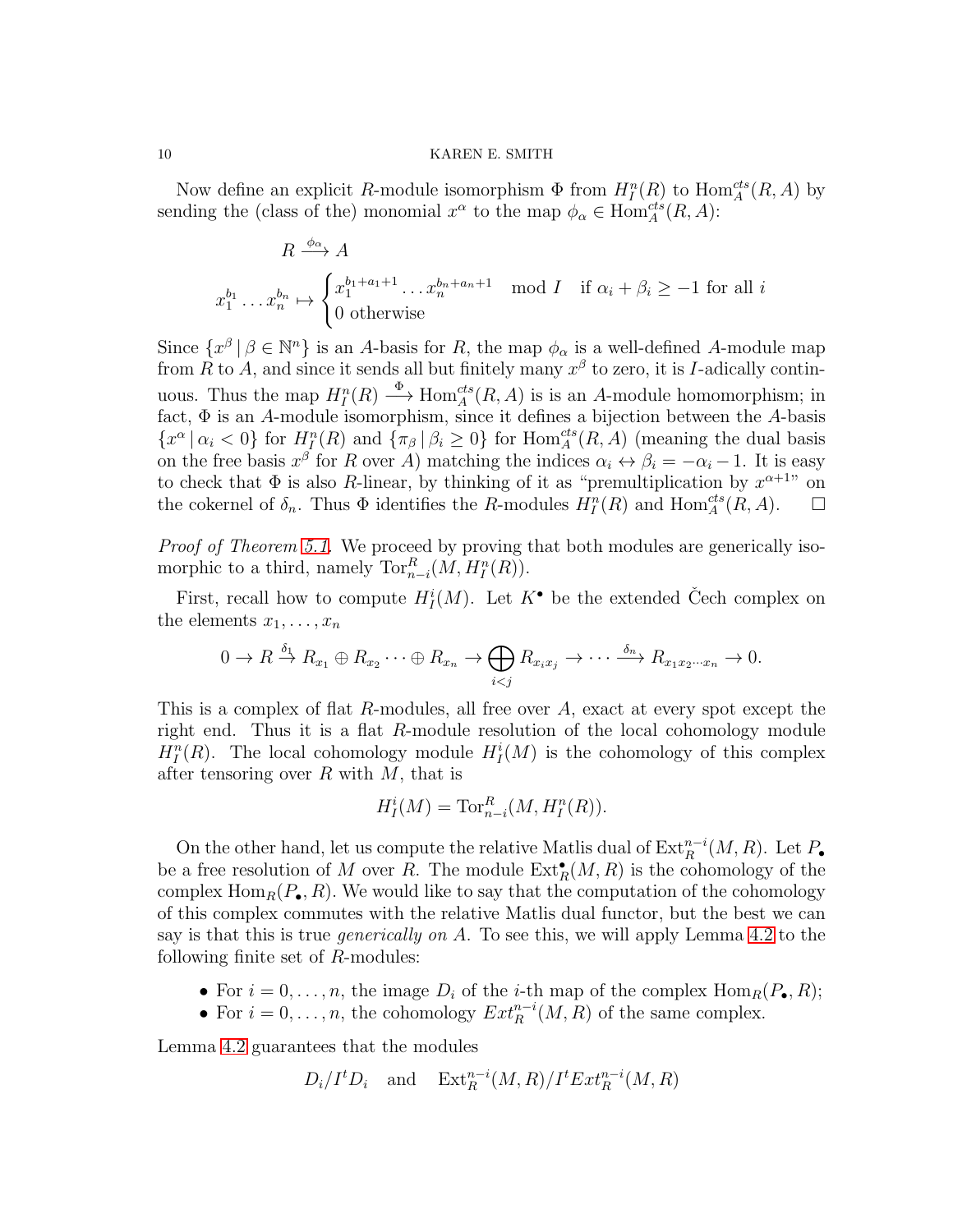Now define an explicit R-module isomorphism  $\Phi$  from  $H_I^n(R)$  to  $\text{Hom}_{A}^{cts}(R, A)$  by sending the (class of the) monomial  $x^{\alpha}$  to the map  $\phi_{\alpha} \in \text{Hom}_{A}^{cts}(R, A)$ :

$$
R \xrightarrow{\phi_{\alpha}} A
$$
  

$$
x_1^{b_1} \dots x_n^{b_n} \mapsto \begin{cases} x_1^{b_1 + a_1 + 1} \dots x_n^{b_n + a_n + 1} \mod I & \text{if } \alpha_i + \beta_i \ge -1 \text{ for all } i \\ 0 & \text{otherwise} \end{cases}
$$

Since  $\{x^{\beta} \mid \beta \in \mathbb{N}^n\}$  is an A-basis for R, the map  $\phi_{\alpha}$  is a well-defined A-module map from R to A, and since it sends all but finitely many  $x^{\beta}$  to zero, it is I-adically continuous. Thus the map  $H_I^n(R) \stackrel{\Phi}{\longrightarrow} \text{Hom}_A^{cts}(R, A)$  is is an A-module homomorphism; in fact,  $\Phi$  is an A-module isomorphism, since it defines a bijection between the A-basis  $\{x^{\alpha} | \alpha_i < 0\}$  for  $H_I^n(R)$  and  $\{\pi_{\beta} | \beta_i \geq 0\}$  for  $\text{Hom}_A^{cts}(R, A)$  (meaning the dual basis on the free basis  $x^{\beta}$  for R over A) matching the indices  $\alpha_i \leftrightarrow \beta_i = -\alpha_i - 1$ . It is easy to check that  $\Phi$  is also R-linear, by thinking of it as "premultiplication by  $x^{\alpha+1}$ " on the cokernel of  $\delta_n$ . Thus  $\Phi$  identifies the R-modules  $H_I^n(R)$  and  $\text{Hom}_A^{cts}(R, A)$ .  $\Box$ 

Proof of Theorem [5.1.](#page-8-0) We proceed by proving that both modules are generically isomorphic to a third, namely  $\operatorname{Tor}_{n-i}^R(M, H_I^n(R))$ .

First, recall how to compute  $H_I^i(M)$ . Let  $K^{\bullet}$  be the extended Čech complex on the elements  $x_1, \ldots, x_n$ 

$$
0 \to R \xrightarrow{\delta_1} R_{x_1} \oplus R_{x_2} \cdots \oplus R_{x_n} \to \bigoplus_{i < j} R_{x_i x_j} \to \cdots \xrightarrow{\delta_n} R_{x_1 x_2 \cdots x_n} \to 0.
$$

This is a complex of flat R-modules, all free over A, exact at every spot except the right end. Thus it is a flat R-module resolution of the local cohomology module  $H_I^n(R)$ . The local cohomology module  $H_I^i(M)$  is the cohomology of this complex after tensoring over  $R$  with  $M$ , that is

$$
H_I^i(M) = \operatorname{Tor}_{n-i}^R(M, H_I^n(R)).
$$

On the other hand, let us compute the relative Matlis dual of  $\text{Ext}_{R}^{n-i}(M, R)$ . Let  $P_{\bullet}$ be a free resolution of M over R. The module  $\text{Ext}^{\bullet}_R(M,R)$  is the cohomology of the complex  $\text{Hom}_R(P_\bullet, R)$ . We would like to say that the computation of the cohomology of this complex commutes with the relative Matlis dual functor, but the best we can say is that this is true *generically on A*. To see this, we will apply Lemma [4.2](#page-7-0) to the following finite set of R-modules:

- For  $i = 0, \ldots, n$ , the image  $D_i$  of the *i*-th map of the complex  $\text{Hom}_R(P_{\bullet}, R)$ ;
- For  $i = 0, \ldots, n$ , the cohomology  $Ext^{n-i}_R(M, R)$  of the same complex.

Lemma [4.2](#page-7-0) guarantees that the modules

$$
D_i/I^tD_i
$$
 and  $Ext_R^{n-i}(M,R)/I^tExt_R^{n-i}(M,R)$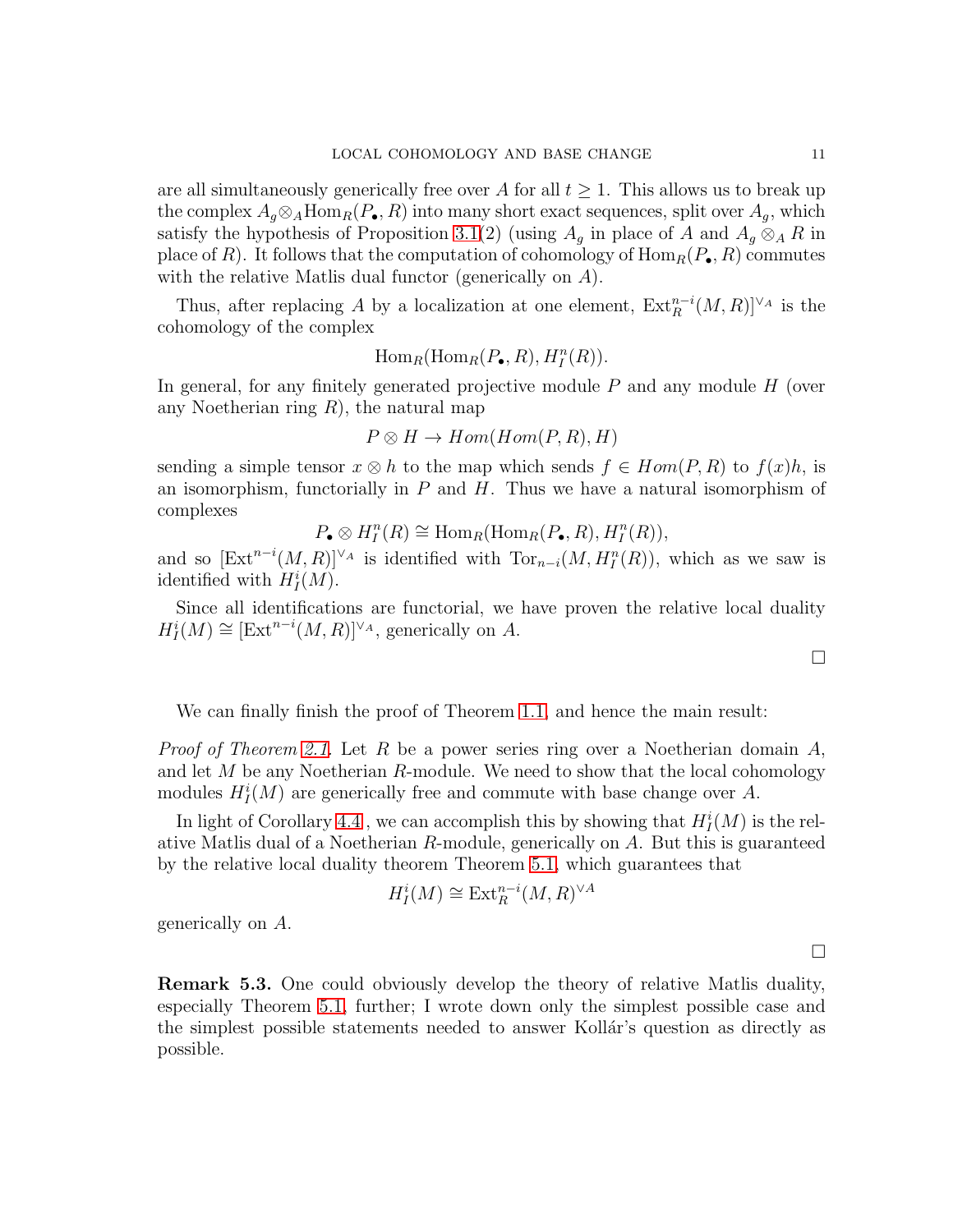are all simultaneously generically free over A for all  $t \geq 1$ . This allows us to break up the complex  $A_q \otimes_A \text{Hom}_R(P_{\bullet}, R)$  into many short exact sequences, split over  $A_q$ , which satisfy the hypothesis of Proposition [3.1\(](#page-5-1)2) (using  $A_g$  in place of A and  $A_g \otimes_A R$  in place of R). It follows that the computation of cohomology of  $\text{Hom}_R(P_{\bullet}, R)$  commutes with the relative Matlis dual functor (generically on A).

Thus, after replacing A by a localization at one element,  $\text{Ext}_{R}^{n-i}(M, R)]^{\vee_A}$  is the cohomology of the complex

$$
\operatorname{Hom}_R(\operatorname{Hom}_R(P_{\bullet}, R), H_I^n(R)).
$$

In general, for any finitely generated projective module  $P$  and any module  $H$  (over any Noetherian ring  $R$ ), the natural map

$$
P \otimes H \to Hom(Hom(P,R),H)
$$

sending a simple tensor  $x \otimes h$  to the map which sends  $f \in Hom(P, R)$  to  $f(x)h$ , is an isomorphism, functorially in  $P$  and  $H$ . Thus we have a natural isomorphism of complexes

 $P_{\bullet} \otimes H_I^n(R) \cong \text{Hom}_R(\text{Hom}_R(P_{\bullet}, R), H_I^n(R)),$ 

and so  $[\text{Ext}^{n-i}(M,R)]^{\vee_A}$  is identified with  $\text{Tor}_{n-i}(M,H^n_I(R))$ , which as we saw is identified with  $H_I^i(M)$ .

Since all identifications are functorial, we have proven the relative local duality  $H_I^i(M) \cong [\text{Ext}^{n-i}(M,R)]^{\vee_A}$ , generically on A.

We can finally finish the proof of Theorem [1.1,](#page-0-0) and hence the main result:

*Proof of Theorem [2.1.](#page-2-0)* Let R be a power series ring over a Noetherian domain  $A$ , and let  $M$  be any Noetherian  $R$ -module. We need to show that the local cohomology modules  $H_I^i(M)$  are generically free and commute with base change over A.

In light of Corollary [4.4](#page-7-2), we can accomplish this by showing that  $H_I^i(M)$  is the relative Matlis dual of a Noetherian R-module, generically on A. But this is guaranteed by the relative local duality theorem Theorem [5.1,](#page-8-0) which guarantees that

$$
H^i_I(M) \cong \text{Ext}^{n-i}_R(M,R)^{\vee A}
$$

generically on A.

Remark 5.3. One could obviously develop the theory of relative Matlis duality, especially Theorem [5.1,](#page-8-0) further; I wrote down only the simplest possible case and the simplest possible statements needed to answer Kollár's question as directly as possible.

 $\Box$ 

 $\Box$